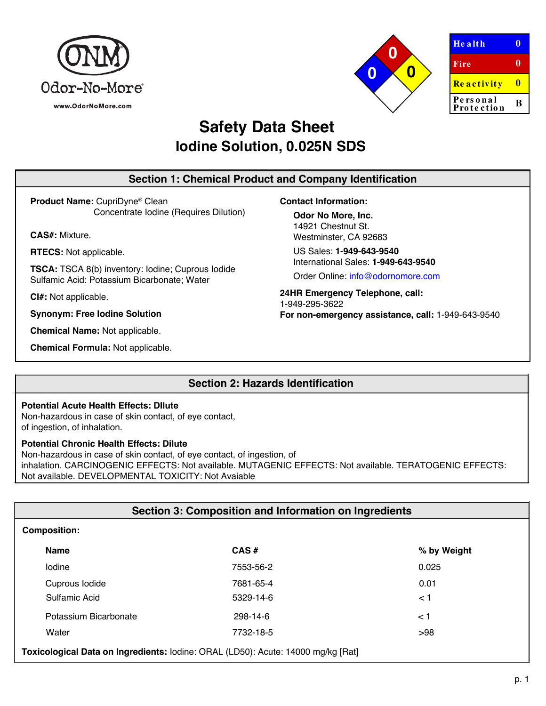



| <b>Health</b>          |   |
|------------------------|---|
| Fire                   | o |
| Reactivity             |   |
| Personal<br>Protection | R |

# **Safety Data Sheet Iodine Solution, 0.025N SDS**

# **Section 1: Chemical Product and Company Identification**

**Product Name:** CupriDyne® Clean Concentrate Iodine (Requires Dilution)

**CAS#:** Mixture.

**RTECS:** Not applicable.

**TSCA:** TSCA 8(b) inventory: Iodine; Cuprous Iodide Sulfamic Acid: Potassium Bicarbonate; Water

**CI#:** Not applicable.

**Synonym: Free Iodine Solution**

**Chemical Name:** Not applicable.

**Chemical Formula:** Not applicable.

**Contact Information:**

**Odor No More, Inc.** 14921 Chestnut St. Westminster, CA 92683

US Sales: **1-949-643-9540** International Sales: **1-949-643-9540**

Order Online: [info@odornomor](http://www.sciencelab.com/)e.com

**24HR Emergency Telephone, call:** 1-949-295-3622 **For non-emergency assistance, call:** 1-949-643-9540

# **Section 2: Hazards Identification**

## **Potential Acute Health Effects: DIlute**

Non-hazardous in case of skin contact, of eye contact, of ingestion, of inhalation.

## **Potential Chronic Health Effects: Dilute**

Non-hazardous in case of skin contact, of eye contact, of ingestion, of inhalation. CARCINOGENIC EFFECTS: Not available. MUTAGENIC EFFECTS: Not available. TERATOGENIC EFFECTS: Not available. DEVELOPMENTAL TOXICITY: Not Avaiable

| Section 3: Composition and Information on Ingredients                            |           |             |  |
|----------------------------------------------------------------------------------|-----------|-------------|--|
| <b>Composition:</b>                                                              |           |             |  |
| <b>Name</b>                                                                      | $CAS \#$  | % by Weight |  |
| lodine                                                                           | 7553-56-2 | 0.025       |  |
| Cuprous Iodide                                                                   | 7681-65-4 | 0.01        |  |
| Sulfamic Acid                                                                    | 5329-14-6 | < 1         |  |
| Potassium Bicarbonate                                                            | 298-14-6  | < 1         |  |
| Water                                                                            | 7732-18-5 | >98         |  |
| Toxicological Data on Ingredients: Iodine: ORAL (LD50): Acute: 14000 mg/kg [Rat] |           |             |  |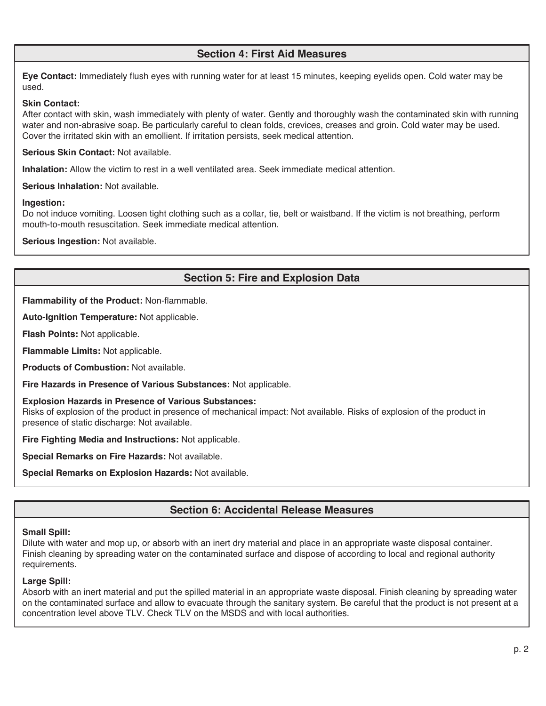# **Section 4: First Aid Measures**

**Eye Contact:** Immediately flush eyes with running water for at least 15 minutes, keeping eyelids open. Cold water may be used.

## **Skin Contact:**

After contact with skin, wash immediately with plenty of water. Gently and thoroughly wash the contaminated skin with running water and non-abrasive soap. Be particularly careful to clean folds, crevices, creases and groin. Cold water may be used. Cover the irritated skin with an emollient. If irritation persists, seek medical attention.

## **Serious Skin Contact:** Not available.

**Inhalation:** Allow the victim to rest in a well ventilated area. Seek immediate medical attention.

**Serious Inhalation:** Not available.

## **Ingestion:**

Do not induce vomiting. Loosen tight clothing such as a collar, tie, belt or waistband. If the victim is not breathing, perform mouth-to-mouth resuscitation. Seek immediate medical attention.

**Serious Ingestion:** Not available.

# **Section 5: Fire and Explosion Data**

**Flammability of the Product:** Non-flammable.

**Auto-Ignition Temperature:** Not applicable.

**Flash Points:** Not applicable.

**Flammable Limits:** Not applicable.

**Products of Combustion:** Not available.

**Fire Hazards in Presence of Various Substances:** Not applicable.

## **Explosion Hazards in Presence of Various Substances:**

Risks of explosion of the product in presence of mechanical impact: Not available. Risks of explosion of the product in presence of static discharge: Not available.

**Fire Fighting Media and Instructions:** Not applicable.

**Special Remarks on Fire Hazards:** Not available.

**Special Remarks on Explosion Hazards:** Not available.

# **Section 6: Accidental Release Measures**

## **Small Spill:**

Dilute with water and mop up, or absorb with an inert dry material and place in an appropriate waste disposal container. Finish cleaning by spreading water on the contaminated surface and dispose of according to local and regional authority requirements.

## **Large Spill:**

Absorb with an inert material and put the spilled material in an appropriate waste disposal. Finish cleaning by spreading water on the contaminated surface and allow to evacuate through the sanitary system. Be careful that the product is not present at a concentration level above TLV. Check TLV on the MSDS and with local authorities.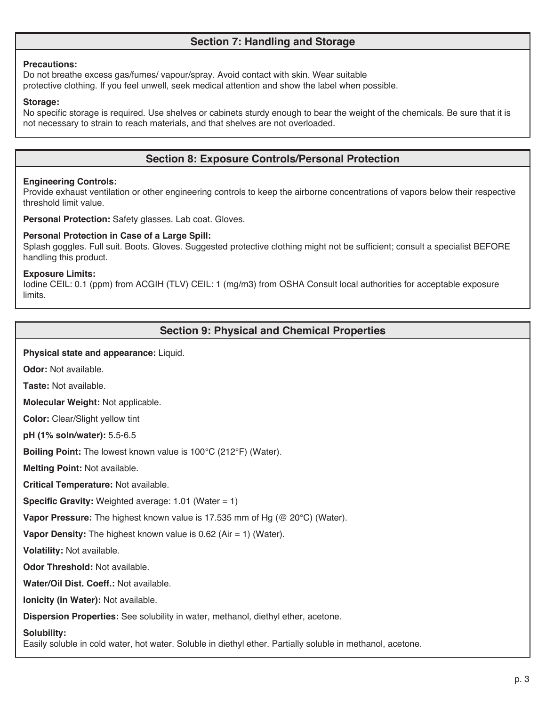# **Section 7: Handling and Storage**

#### **Precautions:**

Do not breathe excess gas/fumes/ vapour/spray. Avoid contact with skin. Wear suitable protective clothing. If you feel unwell, seek medical attention and show the label when possible.

#### **Storage:**

No specific storage is required. Use shelves or cabinets sturdy enough to bear the weight of the chemicals. Be sure that it is not necessary to strain to reach materials, and that shelves are not overloaded.

# **Section 8: Exposure Controls/Personal Protection**

#### **Engineering Controls:**

Provide exhaust ventilation or other engineering controls to keep the airborne concentrations of vapors below their respective threshold limit value.

**Personal Protection:** Safety glasses. Lab coat. Gloves.

#### **Personal Protection in Case of a Large Spill:**

Splash goggles. Full suit. Boots. Gloves. Suggested protective clothing might not be sufficient; consult a specialist BEFORE handling this product.

## **Exposure Limits:**

Iodine CEIL: 0.1 (ppm) from ACGIH (TLV) CEIL: 1 (mg/m3) from OSHA Consult local authorities for acceptable exposure limits.

## **Section 9: Physical and Chemical Properties**

#### **Physical state and appearance:** Liquid.

**Odor:** Not available.

**Taste:** Not available.

**Molecular Weight:** Not applicable.

**Color:** Clear/Slight yellow tint

**pH (1% soln/water):** 5.5-6.5

**Boiling Point:** The lowest known value is 100°C (212°F) (Water).

**Melting Point:** Not available.

**Critical Temperature:** Not available.

**Specific Gravity:** Weighted average: 1.01 (Water = 1)

**Vapor Pressure:** The highest known value is 17.535 mm of Hg (@ 20°C) (Water).

**Vapor Density:** The highest known value is 0.62 (Air = 1) (Water).

**Volatility:** Not available.

**Odor Threshold:** Not available.

**Water/Oil Dist. Coeff.:** Not available.

**Ionicity (in Water):** Not available.

**Dispersion Properties:** See solubility in water, methanol, diethyl ether, acetone.

#### **Solubility:**

Easily soluble in cold water, hot water. Soluble in diethyl ether. Partially soluble in methanol, acetone.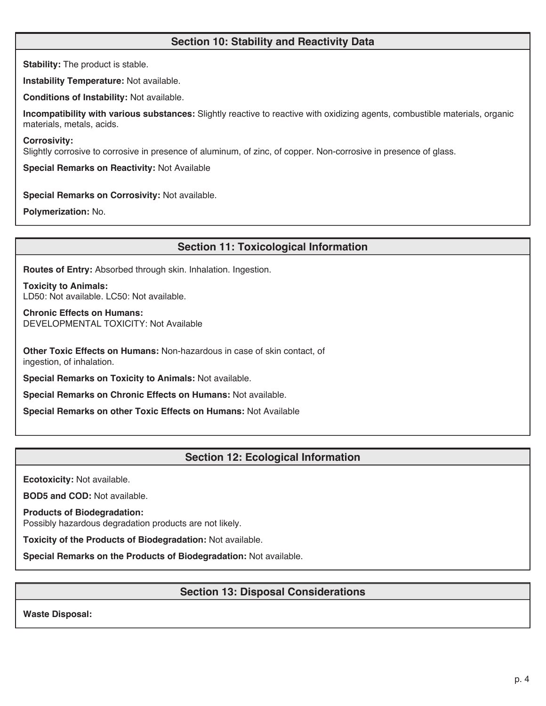# **Section 10: Stability and Reactivity Data**

**Stability:** The product is stable.

**Instability Temperature:** Not available.

**Conditions of Instability:** Not available.

**Incompatibility with various substances:** Slightly reactive to reactive with oxidizing agents, combustible materials, organic materials, metals, acids.

#### **Corrosivity:**

Slightly corrosive to corrosive in presence of aluminum, of zinc, of copper. Non-corrosive in presence of glass.

**Special Remarks on Reactivity:** Not Available

## **Special Remarks on Corrosivity:** Not available.

**Polymerization:** No.

## **Section 11: Toxicological Information**

**Routes of Entry:** Absorbed through skin. Inhalation. Ingestion.

**Toxicity to Animals:** LD50: Not available. LC50: Not available.

**Chronic Effects on Humans:** DEVELOPMENTAL TOXICITY: Not Available

**Other Toxic Effects on Humans:** Non-hazardous in case of skin contact, of ingestion, of inhalation.

**Special Remarks on Toxicity to Animals:** Not available.

**Special Remarks on Chronic Effects on Humans:** Not available.

**Special Remarks on other Toxic Effects on Humans:** Not Available

## **Section 12: Ecological Information**

**Ecotoxicity:** Not available.

**BOD5 and COD:** Not available.

**Products of Biodegradation:**

Possibly hazardous degradation products are not likely.

**Toxicity of the Products of Biodegradation:** Not available.

**Special Remarks on the Products of Biodegradation:** Not available.

# **Section 13: Disposal Considerations**

**Waste Disposal:**